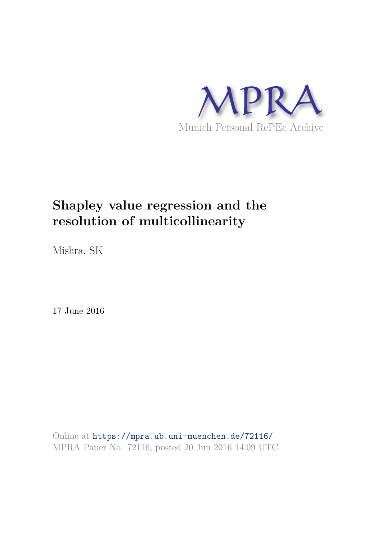

## **Shapley value regression and the resolution of multicollinearity**

Mishra, SK

17 June 2016

Online at https://mpra.ub.uni-muenchen.de/72116/ MPRA Paper No. 72116, posted 20 Jun 2016 14:09 UTC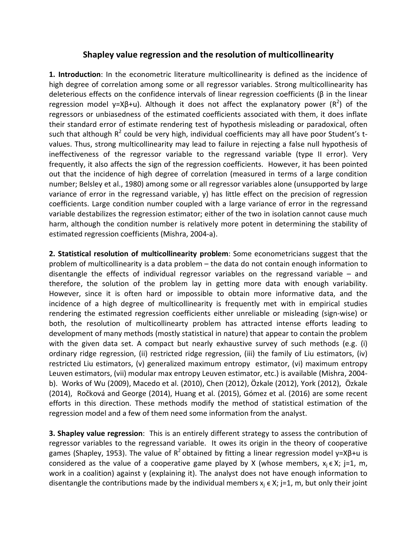## **Shapley value regression and the resolution of multicollinearity**

**1. Introduction**: In the econometric literature multicollinearity is defined as the incidence of high degree of correlation among some or all regressor variables. Strong multicollinearity has deleterious effects on the confidence intervals of linear regression coefficients (β in the linear regression model y=Xβ+u). Although it does not affect the explanatory power (R<sup>2</sup>) of the regressors or unbiasedness of the estimated coefficients associated with them, it does inflate their standard error of estimate rendering test of hypothesis misleading or paradoxical, often such that although  $R^2$  could be very high, individual coefficients may all have poor Student's tvalues. Thus, strong multicollinearity may lead to failure in rejecting a false null hypothesis of ineffectiveness of the regressor variable to the regressand variable (type II error). Very frequently, it also affects the sign of the regression coefficients. However, it has been pointed out that the incidence of high degree of correlation (measured in terms of a large condition number; Belsley et al., 1980) among some or all regressor variables alone (unsupported by large variance of error in the regressand variable, y) has little effect on the precision of regression coefficients. Large condition number coupled with a large variance of error in the regressand variable destabilizes the regression estimator; either of the two in isolation cannot cause much harm, although the condition number is relatively more potent in determining the stability of estimated regression coefficients (Mishra, 2004-a).

**2. Statistical resolution of multicollinearity problem**: Some econometricians suggest that the problem of multicollinearity is a data problem – the data do not contain enough information to disentangle the effects of individual regressor variables on the regressand variable – and therefore, the solution of the problem lay in getting more data with enough variability. However, since it is often hard or impossible to obtain more informative data, and the incidence of a high degree of multicollinearity is frequently met with in empirical studies rendering the estimated regression coefficients either unreliable or misleading (sign-wise) or both, the resolution of multicollinearty problem has attracted intense efforts leading to development of many methods (mostly statistical in nature) that appear to contain the problem with the given data set. A compact but nearly exhaustive survey of such methods (e.g. (i) ordinary ridge regression, (ii) restricted ridge regression, (iii) the family of Liu estimators, (iv) restricted Liu estimators, (v) generalized maximum entropy estimator, (vi) maximum entropy Leuven estimators, (vii) modular max entropy Leuven estimator, etc.) is available (Mishra, 2004 b). Works of Wu (2009), Macedo et al. (2010), Chen (2012), Özkale (2012), York (2012), Özkale (2014), Ročková and George (2014), Huang et al. (2015), Gómez et al. (2016) are some recent efforts in this direction. These methods modify the method of statistical estimation of the regression model and a few of them need some information from the analyst.

**3. Shapley value regression**: This is an entirely different strategy to assess the contribution of regressor variables to the regressand variable. It owes its origin in the theory of cooperative games (Shapley, 1953). The value of  $R^2$  obtained by fitting a linear regression model y=X $\beta$ +u is considered as the value of a cooperative game played by X (whose members,  $x_i \in X$ ; j=1, m, work in a coalition) against y (explaining it). The analyst does not have enough information to disentangle the contributions made by the individual members  $x_j \in X$ ; j=1, m, but only their joint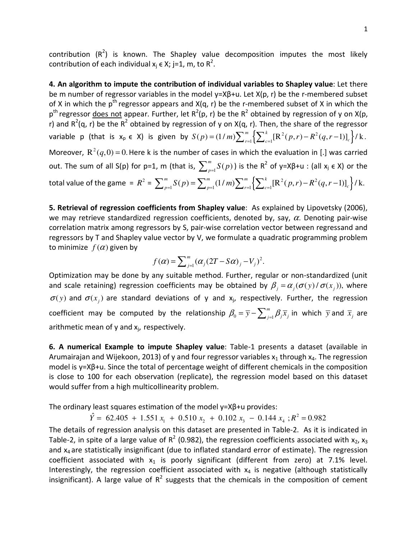contribution  $(R^2)$  is known. The Shapley value decomposition imputes the most likely contribution of each individual  $x_j \in X$ ; j=1, m, to R<sup>2</sup>.

**4. An algorithm to impute the contribution of individual variables to Shapley value**: Let there be m number of regressor variables in the model y=Xβ+u. Let X(p, r) be the r-membered subset of X in which the  $p^{th}$  regressor appears and  $X(q, r)$  be the r-membered subset of X in which the  $p^{th}$  regressor <u>does not</u> appear. Further, let  $R^2(p, r)$  be the  $R^2$  obtained by regression of y on X(p, r) and  $R^2(q, r)$  be the  $R^2$  obtained by regression of y on X(q, r). Then, the share of the regressor variable p (that is  $x_p \in X$ ) is given by  $S(p)=(1/m)\sum_{r=1}^m\left\{\sum_{c=1}^k[R^2(p,r)-R^2(q,r-1)]_c\right\}/$  $S(p) = (1/m) \sum_{r=1}^{m} \left\{ \sum_{c=1}^{k} \left[ R^{2}(p,r) - R^{2}(q,r-1) \right]_{c} \right\} / k.$ Moreover,  $R^2(q,0) = 0$ . Here k is the number of cases in which the evaluation in [.] was carried out. The sum of all S(p) for p=1, m (that is,  $\sum_{p=1}^m S(p)$ ) is the R<sup>2</sup> of y=Xβ+u : (all x<sub>j</sub> ∈ X) or the total value of the game =  $R^2$  =  $\sum_{p=1}^m S(p)$  =  $\sum_{p=1}^m (1/m) \sum_{r=1}^m \Bigl\{ \sum_{c=1}^k [\text{R}^2(p,r) - R^2(q,r-1)]_c \Bigr\}/R^2$  $\sum_{p=1}^{m} S(p) = \sum_{p=1}^{m} (1/m) \sum_{r=1}^{m} \left\{ \sum_{c=1}^{k} [\mathbf{R}^{2}(p,r) - \mathbf{R}^{2}(q,r-1)]_{c} \right\} / k.$ 

**5. Retrieval of regression coefficients from Shapley value**: As explained by Lipovetsky (2006), we may retrieve standardized regression coefficients, denoted by, say,  $\alpha$ . Denoting pair-wise correlation matrix among regressors by S, pair-wise correlation vector between regressand and regressors by T and Shapley value vector by V, we formulate a quadratic programming problem to minimize  $f(\alpha)$  given by

$$
f(\alpha) = \sum_{j=1}^{m} (\alpha_j (2T - S\alpha)_j - V_j)^2.
$$

Optimization may be done by any suitable method. Further, regular or non-standardized (unit and scale retaining) regression coefficients may be obtained by  $\beta_i = \alpha_j (\sigma(y) / \sigma(x_j))$ , where  $\sigma(y)$  and  $\sigma(x_i)$  are standard deviations of y and x<sub>j</sub>, respectively. Further, the regression coefficient may be computed by the relationship  $\beta_{0} = \overline{y} - \sum_{j=1}^{m}$  $\beta_{0} = \overline{y} - \sum_{j=1}^{m} \beta_{j} \overline{x}_{j}$  in which  $\overline{y}$  and  $\overline{x}_{j}$  are arithmetic mean of  $y$  and  $x_j$ , respectively.

**6. A numerical Example to impute Shapley value**: Table-1 presents a dataset (available in Arumairajan and Wijekoon, 2013) of y and four regressor variables  $x_1$  through  $x_4$ . The regression model is y=Xβ+u. Since the total of percentage weight of different chemicals in the composition is close to 100 for each observation (replicate), the regression model based on this dataset would suffer from a high multicollinearity problem.

The ordinary least squares estimation of the model y=Xβ+u provides:

2  $\hat{Y} = 62.405 + 1.551 x_1 + 0.510 x_2 + 0.102 x_3 - 0.144 x_4 ; R^2 = 0.982$ 

The details of regression analysis on this dataset are presented in Table-2. As it is indicated in Table-2, in spite of a large value of  $R^2$  (0.982), the regression coefficients associated with  $x_2$ ,  $x_3$ and  $x_4$  are statistically insignificant (due to inflated standard error of estimate). The regression coefficient associated with  $x_1$  is poorly significant (different from zero) at 7.1% level. Interestingly, the regression coefficient associated with  $x_4$  is negative (although statistically insignificant). A large value of  $R^2$  suggests that the chemicals in the composition of cement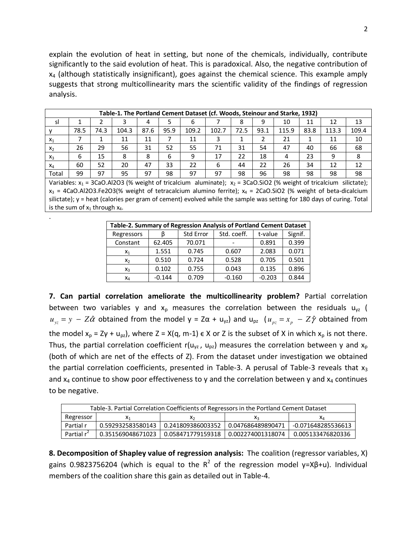explain the evolution of heat in setting, but none of the chemicals, individually, contribute significantly to the said evolution of heat. This is paradoxical. Also, the negative contribution of  $x_4$  (although statistically insignificant), goes against the chemical science. This example amply suggests that strong multicollinearity mars the scientific validity of the findings of regression analysis.

|                                                                                                                         | Table-1. The Portland Cement Dataset (cf. Woods, Steinour and Starke, 1932)                                       |      |       |      |      |       |       |      |      |       |      |                                                                                                                       |       |
|-------------------------------------------------------------------------------------------------------------------------|-------------------------------------------------------------------------------------------------------------------|------|-------|------|------|-------|-------|------|------|-------|------|-----------------------------------------------------------------------------------------------------------------------|-------|
| sl                                                                                                                      |                                                                                                                   |      |       | 4    | 5    | 6     |       | 8    | 9    | 10    | 11   | 12                                                                                                                    | 13    |
|                                                                                                                         | 78.5                                                                                                              | 74.3 | 104.3 | 87.6 | 95.9 | 109.2 | 102.7 | 72.5 | 93.1 | 115.9 | 83.8 | 113.3                                                                                                                 | 109.4 |
| $X_1$                                                                                                                   |                                                                                                                   |      | 11    | 11   | 7    | 11    | 3     |      | 2    | 21    |      | 11                                                                                                                    | 10    |
| $X_2$                                                                                                                   | 26                                                                                                                | 29   | 56    | 31   | 52   | 55    | 71    | 31   | 54   | 47    | 40   | 66                                                                                                                    | 68    |
| $X_3$                                                                                                                   | 6                                                                                                                 | 15   | 8     | 8    | 6    | 9     | 17    | 22   | 18   | 4     | 23   | 9                                                                                                                     | 8     |
| $X_4$                                                                                                                   | 60                                                                                                                | 52   | 20    | 47   | 33   | 22    | 6     | 44   | 22   | 26    | 34   | 12                                                                                                                    | 12    |
| Total                                                                                                                   | 99                                                                                                                | 97   | 95    | 97   | 98   | 97    | 97    | 98   | 96   | 98    | 98   | 98                                                                                                                    | 98    |
| Variables: $x_1$ = 3CaO.Al2O3 (% weight of tricalcium aluminate); $x_2$ = 3CaO.SiO2 (% weight of tricalcium silictate); |                                                                                                                   |      |       |      |      |       |       |      |      |       |      |                                                                                                                       |       |
|                                                                                                                         | $x_3$ = 4CaO.Al2O3.Fe2O3(% weight of tetracalcium alumino ferrite); $x_4$ = 2CaO.SiO2 (% weight of beta-dicalcium |      |       |      |      |       |       |      |      |       |      |                                                                                                                       |       |
|                                                                                                                         |                                                                                                                   |      |       |      |      |       |       |      |      |       |      | silictate); y = heat (calories per gram of cement) evolved while the sample was setting for 180 days of curing. Total |       |

| Table-2. Summary of Regression Analysis of Portland Cement Dataset |          |           |             |          |         |  |  |  |  |
|--------------------------------------------------------------------|----------|-----------|-------------|----------|---------|--|--|--|--|
| Regressors                                                         | В        | Std Error | Std. coeff. | t-value  | Signif. |  |  |  |  |
| Constant                                                           | 62.405   | 70.071    |             | 0.891    | 0.399   |  |  |  |  |
| $X_1$                                                              | 1.551    | 0.745     | 0.607       | 2.083    | 0.071   |  |  |  |  |
| $x_2$                                                              | 0.510    | 0.724     | 0.528       | 0.705    | 0.501   |  |  |  |  |
| $X_3$                                                              | 0.102    | 0.755     | 0.043       | 0.135    | 0.896   |  |  |  |  |
| $x_4$                                                              | $-0.144$ | 0.709     | $-0.160$    | $-0.203$ | 0.844   |  |  |  |  |

is the sum of  $x_1$  through  $x_4$ .

.

**7. Can partial correlation ameliorate the multicollinearity problem?** Partial correlation between two variables y and  $x_p$  measures the correlation between the residuals  $u_{yz}$  (  $u_{yz} = y - Z\hat{\alpha}$  obtained from the model  $y = Z\alpha + u_{yz}$  and  $u_{pz}$  ( $u_{pz} = x_p - Z\hat{\gamma}$  obtained from the model  $x_p = Z\gamma + u_{pz}$ , where  $Z = X(q, m-1) \in X$  or Z is the subset of X in which  $x_p$  is not there. Thus, the partial correlation coefficient r( $u_{yz}$ ,  $u_{pz}$ ) measures the correlation between y and  $x_p$ (both of which are net of the effects of Z). From the dataset under investigation we obtained the partial correlation coefficients, presented in Table-3. A perusal of Table-3 reveals that  $x_3$ and  $x_4$  continue to show poor effectiveness to y and the correlation between y and  $x_4$  continues to be negative.

| Table-3. Partial Correlation Coefficients of Regressors in the Portland Cement Dataset |                   |                                       |                   |                    |  |  |  |  |  |
|----------------------------------------------------------------------------------------|-------------------|---------------------------------------|-------------------|--------------------|--|--|--|--|--|
| Regressor                                                                              |                   | ᄉ                                     |                   | ΛΔ                 |  |  |  |  |  |
| Partial r                                                                              | 0.592932583580143 | 0.241809386003352                     | 0.047686489890471 | -0.071648285536613 |  |  |  |  |  |
| Partial r <sup>2</sup>                                                                 |                   | 0.351569048671023   0.058471779159318 | 0.002274001318074 | 0.005133476820336  |  |  |  |  |  |

**8. Decomposition of Shapley value of regression analysis:** The coalition (regressor variables, X) gains 0.9823756204 (which is equal to the R<sup>2</sup> of the regression model y=Xβ+u). Individual members of the coalition share this gain as detailed out in Table-4.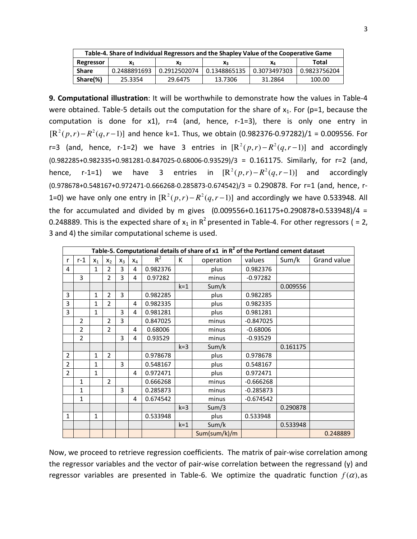| Table-4. Share of Individual Regressors and the Shapley Value of the Cooperative Game |                |                |              |              |              |  |  |  |
|---------------------------------------------------------------------------------------|----------------|----------------|--------------|--------------|--------------|--|--|--|
| Regressor                                                                             | X <sub>1</sub> | x <sub>2</sub> | $X_{3}$      | Χл           | Total        |  |  |  |
| Share                                                                                 | 0.2488891693   | 0.2912502074   | 0.1348865135 | 0.3073497303 | 0.9823756204 |  |  |  |
| Share(%)                                                                              | 25.3354        | 29.6475        | 13.7306      | 31.2864      | 100.00       |  |  |  |

**9. Computational illustration**: It will be worthwhile to demonstrate how the values in Table-4 were obtained. Table-5 details out the computation for the share of  $x_1$ . For (p=1, because the computation is done for x1), r=4 (and, hence, r-1=3), there is only one entry in  $[R^2(p, r) - R^2(q, r-1)]$  and hence k=1. Thus, we obtain (0.982376-0.97282)/1 = 0.009556. For r=3 (and, hence, r-1=2) we have 3 entries in  $[R^2(p, r) - R^2(q, r - 1)]$  and accordingly (0.982285+0.982335+0.981281-0.847025-0.68006-0.93529)/3 = 0.161175. Similarly, for r=2 (and, hence, r-1=1) we have 3 entries in  $[\mathbb{R}^2(p, r) - \mathbb{R}^2(q, r-1)]$  and accordingly (0.978678+0.548167+0.972471-0.666268-0.285873-0.674542)/3 = 0.290878. For r=1 (and, hence, r-1=0) we have only one entry in  $[R^2(p, r) - R^2(q, r - 1)]$  and accordingly we have 0.533948. All the for accumulated and divided by m gives  $(0.009556+0.161175+0.290878+0.533948)/4 =$ 0.248889. This is the expected share of  $x_1$  in R<sup>2</sup> presented in Table-4. For other regressors ( = 2, 3 and 4) the similar computational scheme is used.

|                | Table-5. Computational details of share of $x1$ in $R^2$ of the Portland cement dataset |              |                |       |       |          |         |              |             |          |             |
|----------------|-----------------------------------------------------------------------------------------|--------------|----------------|-------|-------|----------|---------|--------------|-------------|----------|-------------|
| r              | $r-1$                                                                                   | $x_1$        | $x_2$          | $X_3$ | $X_4$ | $R^2$    | К       | operation    | values      | Sum/k    | Grand value |
| 4              |                                                                                         | 1            | $\mathcal{P}$  | 3     | 4     | 0.982376 |         | plus         | 0.982376    |          |             |
|                | 3                                                                                       |              | $\mathcal{P}$  | 3     | 4     | 0.97282  |         | minus        | $-0.97282$  |          |             |
|                |                                                                                         |              |                |       |       |          | $k = 1$ | Sum/k        |             | 0.009556 |             |
| 3              |                                                                                         | $\mathbf{1}$ | $\overline{2}$ | 3     |       | 0.982285 |         | plus         | 0.982285    |          |             |
| 3              |                                                                                         | 1            | $\overline{2}$ |       | 4     | 0.982335 |         | plus         | 0.982335    |          |             |
| 3              |                                                                                         | $\mathbf{1}$ |                | 3     | 4     | 0.981281 |         | plus         | 0.981281    |          |             |
|                | $\mathcal{P}$                                                                           |              | $\mathcal{P}$  | 3     |       | 0.847025 |         | minus        | $-0.847025$ |          |             |
|                | 2                                                                                       |              | $\overline{2}$ |       | 4     | 0.68006  |         | minus        | $-0.68006$  |          |             |
|                | $\overline{2}$                                                                          |              |                | 3     | 4     | 0.93529  |         | minus        | $-0.93529$  |          |             |
|                |                                                                                         |              |                |       |       |          | $k=3$   | Sum/k        |             | 0.161175 |             |
| $\overline{2}$ |                                                                                         | $\mathbf{1}$ | $\overline{2}$ |       |       | 0.978678 |         | plus         | 0.978678    |          |             |
| $\overline{2}$ |                                                                                         | $\mathbf{1}$ |                | 3     |       | 0.548167 |         | plus         | 0.548167    |          |             |
| $\overline{2}$ |                                                                                         | $\mathbf{1}$ |                |       | 4     | 0.972471 |         | plus         | 0.972471    |          |             |
|                | 1                                                                                       |              | $\mathcal{P}$  |       |       | 0.666268 |         | minus        | $-0.666268$ |          |             |
|                | 1                                                                                       |              |                | 3     |       | 0.285873 |         | minus        | $-0.285873$ |          |             |
|                | $\mathbf{1}$                                                                            |              |                |       | 4     | 0.674542 |         | minus        | $-0.674542$ |          |             |
|                |                                                                                         |              |                |       |       |          | $k=3$   | Sum/3        |             | 0.290878 |             |
| 1              |                                                                                         | $\mathbf{1}$ |                |       |       | 0.533948 |         | plus         | 0.533948    |          |             |
|                |                                                                                         |              |                |       |       |          | $k = 1$ | Sum/k        |             | 0.533948 |             |
|                |                                                                                         |              |                |       |       |          |         | Sum(sum/k)/m |             |          | 0.248889    |

Now, we proceed to retrieve regression coefficients. The matrix of pair-wise correlation among the regressor variables and the vector of pair-wise correlation between the regressand (y) and regressor variables are presented in Table-6. We optimize the quadratic function  $f(\alpha)$ , as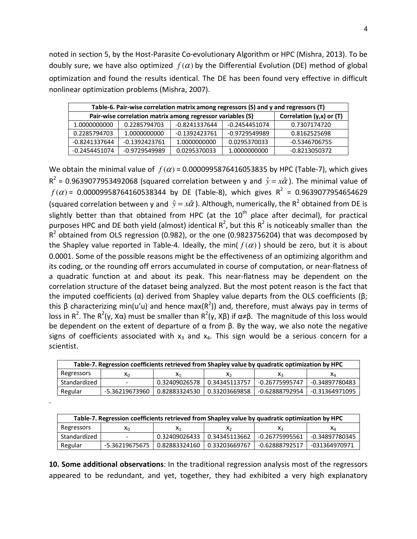noted in section 5, by the Host-Parasite Co-evolutionary Algorithm or HPC (Mishra, 2013). To be doubly sure, we have also optimized  $f(\alpha)$  by the Differential Evolution (DE) method of global optimization and found the results identical. The DE has been found very effective in difficult nonlinear optimization problems (Mishra, 2007).

| Table-6. Pair-wise correlation matrix among regressors (S) and y and regressors (T)        |               |                 |               |               |  |  |  |  |
|--------------------------------------------------------------------------------------------|---------------|-----------------|---------------|---------------|--|--|--|--|
| Correlation $(y,x)$ or $(T)$<br>Pair-wise correlation matrix among regressor variables (S) |               |                 |               |               |  |  |  |  |
| 1.0000000000                                                                               | 0.2285794703  | -0.8241337644   | -0.2454451074 | 0.7307174720  |  |  |  |  |
| 0.2285794703                                                                               | 1.0000000000  | $-0.1392423761$ | -0.9729549989 | 0.8162525698  |  |  |  |  |
| -0.8241337644                                                                              | -0.1392423761 | 1.0000000000    | 0.0295370033  | -0.5346706755 |  |  |  |  |
| -0.2454451074                                                                              | -0.9729549989 | 0.0295370033    | 1.0000000000  | -0.8213050372 |  |  |  |  |

We obtain the minimal value of  $f(\alpha)$  = 0.0000995876416053835 by HPC (Table-7), which gives  $R^2$  = 0.9639077953492068 (squared correlation between y and  $\hat{y} = x\hat{\alpha}$ ). The minimal value of  $f(\alpha)$  = 0.00009958764160538344 by DE (Table-8), which gives R<sup>2</sup> = 0.9639077954654629 (squared correlation between y and  $\hat{y} = x\hat{\alpha}$ ). Although, numerically, the R<sup>2</sup> obtained from DE is slightly better than that obtained from HPC (at the  $10<sup>th</sup>$  place after decimal), for practical purposes HPC and DE both yield (almost) identical  $R^2$ , but this  $R^2$  is noticeably smaller than the  $R^2$  obtained from OLS regression (0.982), or the one (0.9823756204) that was decomposed by the Shapley value reported in Table-4. Ideally, the min( $f(\alpha)$ ) should be zero, but it is about 0.0001. Some of the possible reasons might be the effectiveness of an optimizing algorithm and its coding, or the rounding off errors accumulated in course of computation, or near-flatness of a quadratic function at and about its peak. This near-flatness may be dependent on the correlation structure of the dataset being analyzed. But the most potent reason is the fact that the imputed coefficients ( $\alpha$ ) derived from Shapley value departs from the OLS coefficients ( $\beta$ ; this β characterizing min(u'u) and hence max(R<sup>2</sup>)) and, therefore, must always pay in terms of loss in R<sup>2</sup>. The R<sup>2</sup>(y, Xα) must be smaller than R<sup>2</sup>(y, Xβ) if α≠β. The magnitude of this loss would be dependent on the extent of departure of  $\alpha$  from  $\beta$ . By the way, we also note the negative signs of coefficients associated with  $x_3$  and  $x_4$ . This sign would be a serious concern for a scientist.

| Table-7. Regression coefficients retrieved from Shapley value by quadratic optimization by HPC |                |               |               |                |                |  |  |  |
|------------------------------------------------------------------------------------------------|----------------|---------------|---------------|----------------|----------------|--|--|--|
| Regressors                                                                                     | X∩             | Х١            | Х٥            | ۸з             | XΔ             |  |  |  |
| Standardized                                                                                   |                | 0.32409026578 | 0.34345113757 | -0.26775995747 | -0.34897780483 |  |  |  |
| Regular                                                                                        | -5.36219673960 | 0.82883324530 | 0.33203669858 | -0.62888792954 | -0.31364971095 |  |  |  |

.

| Table-7. Regression coefficients retrieved from Shapley value by quadratic optimization by HPC |                |               |                |                |                |  |  |  |
|------------------------------------------------------------------------------------------------|----------------|---------------|----------------|----------------|----------------|--|--|--|
| Regressors                                                                                     | ۸n             | X۱            | X <sub>2</sub> |                | Χл             |  |  |  |
| Standardized                                                                                   |                | 0.32409026433 | 0.34345113662  | -0.26775995561 | -0.34897780345 |  |  |  |
| Regular                                                                                        | -5.36219675675 | 0.82883324160 | 0.33203669767  | -0.62888792517 | -031364970971  |  |  |  |

**10. Some additional observations**: In the traditional regression analysis most of the regressors appeared to be redundant, and yet, together, they had exhibited a very high explanatory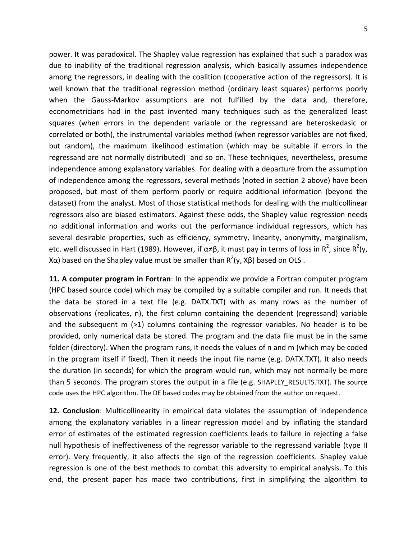power. It was paradoxical. The Shapley value regression has explained that such a paradox was due to inability of the traditional regression analysis, which basically assumes independence among the regressors, in dealing with the coalition (cooperative action of the regressors). It is well known that the traditional regression method (ordinary least squares) performs poorly when the Gauss-Markov assumptions are not fulfilled by the data and, therefore, econometricians had in the past invented many techniques such as the generalized least squares (when errors in the dependent variable or the regressand are heteroskedasic or correlated or both), the instrumental variables method (when regressor variables are not fixed, but random), the maximum likelihood estimation (which may be suitable if errors in the regressand are not normally distributed) and so on. These techniques, nevertheless, presume independence among explanatory variables. For dealing with a departure from the assumption of independence among the regressors, several methods (noted in section 2 above) have been proposed, but most of them perform poorly or require additional information (beyond the dataset) from the analyst. Most of those statistical methods for dealing with the multicollinear regressors also are biased estimators. Against these odds, the Shapley value regression needs no additional information and works out the performance individual regressors, which has several desirable properties, such as efficiency, symmetry, linearity, anonymity, marginalism, etc. well discussed in Hart (1989). However, if α≠β, it must pay in terms of loss in R<sup>2</sup>, since R<sup>2</sup>(y, Xα) based on the Shapley value must be smaller than  $R^2$ (y, Xβ) based on OLS .

**11. A computer program in Fortran**: In the appendix we provide a Fortran computer program (HPC based source code) which may be compiled by a suitable compiler and run. It needs that the data be stored in a text file (e.g. DATX.TXT) with as many rows as the number of observations (replicates, n), the first column containing the dependent (regressand) variable and the subsequent  $m$  (>1) columns containing the regressor variables. No header is to be provided, only numerical data be stored. The program and the data file must be in the same folder (directory). When the program runs, it needs the values of n and m (which may be coded in the program itself if fixed). Then it needs the input file name (e.g. DATX.TXT). It also needs the duration (in seconds) for which the program would run, which may not normally be more than 5 seconds. The program stores the output in a file (e.g. SHAPLEY RESULTS.TXT). The source code uses the HPC algorithm. The DE based codes may be obtained from the author on request.

**12. Conclusion**: Multicollinearity in empirical data violates the assumption of independence among the explanatory variables in a linear regression model and by inflating the standard error of estimates of the estimated regression coefficients leads to failure in rejecting a false null hypothesis of ineffectiveness of the regressor variable to the regressand variable (type II error). Very frequently, it also affects the sign of the regression coefficients. Shapley value regression is one of the best methods to combat this adversity to empirical analysis. To this end, the present paper has made two contributions, first in simplifying the algorithm to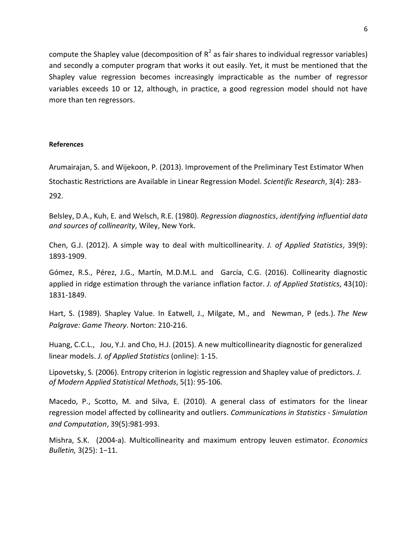compute the Shapley value (decomposition of  $R^2$  as fair shares to individual regressor variables) and secondly a computer program that works it out easily. Yet, it must be mentioned that the Shapley value regression becomes increasingly impracticable as the number of regressor variables exceeds 10 or 12, although, in practice, a good regression model should not have more than ten regressors.

## **References**

Arumairajan, S. and Wijekoon, P. (2013). Improvement of the Preliminary Test Estimator When Stochastic Restrictions are Available in Linear Regression Model. *Scientific Research*, 3(4): 283- 292.

Belsley, D.A., Kuh, E. and Welsch, R.E. (1980). *Regression diagnostics*, *identifying influential data and sources of collinearity*, Wiley, New York.

Chen, G.J. (2012). A simple way to deal with multicollinearity. *J. of Applied Statistics*, 39(9): 1893-1909.

Gómez, R.S., Pérez, J.G., Martín, M.D.M.L. and García, C.G. (2016). Collinearity diagnostic applied in ridge estimation through the variance inflation factor. *J. of Applied Statistics*, 43(10): 1831-1849.

Hart, S. (1989). Shapley Value. In Eatwell, J., Milgate, M., and Newman, P (eds.). *The New Palgrave: Game Theory*. Norton: 210-216.

Huang, C.C.L., Jou, Y.J. and Cho, H.J. (2015). A new multicollinearity diagnostic for generalized linear models. *J. of Applied Statistics* (online): 1-15.

Lipovetsky, S. (2006). Entropy criterion in logistic regression and Shapley value of predictors. *J. of Modern Applied Statistical Methods*, 5(1): 95-106.

Macedo, P., Scotto, M. and Silva, E. (2010). A general class of estimators for the linear regression model affected by collinearity and outliers. *Communications in Statistics - Simulation and Computation*, 39(5):981-993.

Mishra, S.K. (2004-a). Multicollinearity and maximum entropy leuven estimator. *Economics Bulletin,* 3(25): 1−11.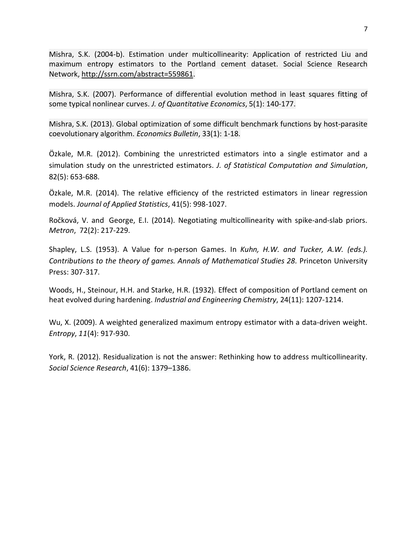Mishra, S.K. (2004-b). Estimation under multicollinearity: Application of restricted Liu and maximum entropy estimators to the Portland cement dataset. Social Science Research Network, http://ssrn.com/abstract=559861.

Mishra, S.K. (2007). Performance of differential evolution method in least squares fitting of some typical nonlinear curves. *J. of Quantitative Economics*, 5(1): 140-177.

Mishra, S.K. (2013). Global optimization of some difficult benchmark functions by host-parasite coevolutionary algorithm. *Economics Bulletin*, 33(1): 1-18.

Özkale, M.R. (2012). Combining the unrestricted estimators into a single estimator and a simulation study on the unrestricted estimators. *J. of Statistical Computation and Simulation*, 82(5): 653-688.

Özkale, M.R. (2014). The relative efficiency of the restricted estimators in linear regression models. *Journal of Applied Statistics*, 41(5): 998-1027.

Ročková, V. and George, E.I. (2014). Negotiating multicollinearity with spike-and-slab priors. *Metron*, 72(2): 217-229.

Shapley, L.S. (1953). A Value for n-person Games. In *Kuhn, H.W. and Tucker, A.W. (eds.). Contributions to the theory of games. Annals of Mathematical Studies 28*. Princeton University Press: 307-317.

Woods, H., Steinour, H.H. and Starke, H.R. (1932). Effect of composition of Portland cement on heat evolved during hardening. *Industrial and Engineering Chemistry*, 24(11): 1207-1214.

Wu, X. (2009). A weighted generalized maximum entropy estimator with a data-driven weight. *Entropy*, *11*(4): 917-930.

York, R. (2012). Residualization is not the answer: Rethinking how to address multicollinearity. *Social Science Research*, 41(6): 1379–1386.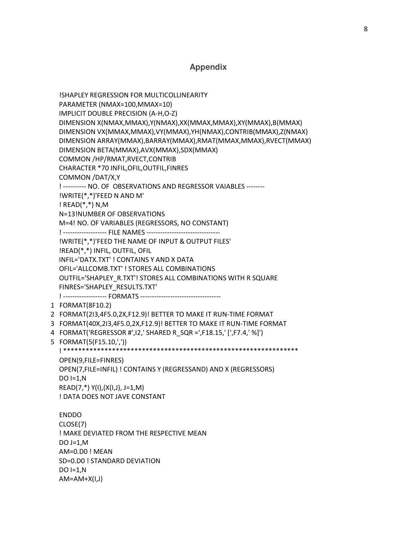## **Appendix**

 !SHAPLEY REGRESSION FOR MULTICOLLINEARITY PARAMETER (NMAX=100,MMAX=10) IMPLICIT DOUBLE PRECISION (A-H,O-Z) DIMENSION X(NMAX,MMAX),Y(NMAX),XX(MMAX,MMAX),XY(MMAX),B(MMAX) DIMENSION VX(MMAX,MMAX),VY(MMAX),YH(NMAX),CONTRIB(MMAX),Z(NMAX) DIMENSION ARRAY(MMAX),BARRAY(MMAX),RMAT(MMAX,MMAX),RVECT(MMAX) DIMENSION BETA(MMAX),AVX(MMAX),SDX(MMAX) COMMON /HP/RMAT,RVECT,CONTRIB CHARACTER \*70 INFIL,OFIL,OUTFIL,FINRES COMMON /DAT/X,Y ! ---------- NO. OF OBSERVATIONS AND REGRESSOR VAIABLES -------- !WRITE(\*,\*)'FEED N AND M' ! READ(\*,\*) N,M N=13!NUMBER OF OBSERVATIONS M=4! NO. OF VARIABLES (REGRESSORS, NO CONSTANT) ! ------------------- FILE NAMES ---------------------------------- !WRITE(\*,\*)'FEED THE NAME OF INPUT & OUTPUT FILES' !READ(\*,\*) INFIL, OUTFIL, OFIL INFIL='DATX.TXT' ! CONTAINS Y AND X DATA OFIL='ALLCOMB.TXT' ! STORES ALL COMBINATIONS OUTFIL='SHAPLEY\_R.TXT'! STORES ALL COMBINATIONS WITH R SQUARE FINRES='SHAPLEY\_RESULTS.TXT' ! ------------------- FORMATS ----------------------------------- 1 FORMAT(8F10.2) 2 FORMAT(2I3,4F5.0,2X,F12.9)! BETTER TO MAKE IT RUN-TIME FORMAT 3 FORMAT(40X,2I3,4F5.0,2X,F12.9)! BETTER TO MAKE IT RUN-TIME FORMAT 4 FORMAT('REGRESSOR #',I2,' SHARED R\_SQR =',F18.15,' [',F7.4,' %]') 5 FORMAT(5(F15.10,',')) ! \*\*\*\*\*\*\*\*\*\*\*\*\*\*\*\*\*\*\*\*\*\*\*\*\*\*\*\*\*\*\*\*\*\*\*\*\*\*\*\*\*\*\*\*\*\*\*\*\*\*\*\*\*\*\*\*\*\*\*\*\*\*\* OPEN(9,FILE=FINRES) OPEN(7,FILE=INFIL) ! CONTAINS Y (REGRESSAND) AND X (REGRESSORS)  $DO I=1,N$  $READ(7,*) Y(1), (X(1,1), J=1,M)$  ! DATA DOES NOT JAVE CONSTANT ENDDO CLOSE(7) ! MAKE DEVIATED FROM THE RESPECTIVE MEAN DO  $J=1,M$  AM=0.D0 ! MEAN SD=0.D0 ! STANDARD DEVIATION  $DO I=1,N$  $AM=AM+X(I,J)$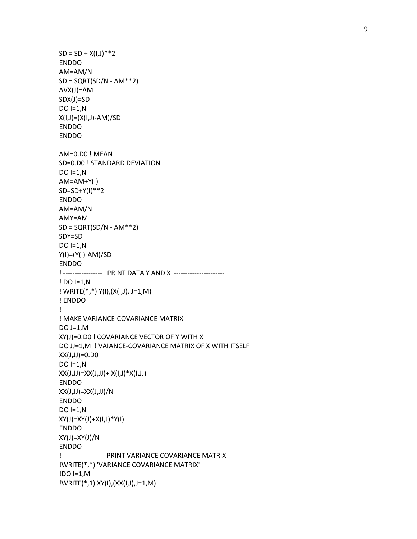$SD = SD + X(1,1)$ <sup>\*\*</sup>2 ENDDO AM=AM/N  $SD = SQRT(SD/N - AM**2)$  AVX(J)=AM SDX(J)=SD  $DO I=1,N$  X(I,J)=(X(I,J)-AM)/SD ENDDO ENDDO AM=0.D0 ! MEAN SD=0.D0 ! STANDARD DEVIATION  $DO I=1,N$  AM=AM+Y(I) SD=SD+Y(I)\*\*2 ENDDO AM=AM/N AMY=AM  $SD = \text{SQRT}(\text{SD/N} - \text{AM}^{**}2)$  SDY=SD  $DO I=1,N$  Y(I)=(Y(I)-AM)/SD ENDDO ! ----------------- PRINT DATA Y AND X ---------------------- ! DO I=1,N ! WRITE(\*,\*) Y(I),(X(I,J), J=1,M) ! ENDDO ! ---------------------------------------------------------------- ! MAKE VARIANCE-COVARIANCE MATRIX DO  $J=1,M$  XY(J)=0.D0 ! COVARIANCE VECTOR OF Y WITH X DO JJ=1,M ! VAIANCE-COVARIANCE MATRIX OF X WITH ITSELF XX(J,JJ)=0.D0 DO I=1,N  $XX(J,J) = XX(J,J) + X(I,J) * X(I,J)$  ENDDO XX(J,JJ)=XX(J,JJ)/N ENDDO  $DO I=1,N$  XY(J)=XY(J)+X(I,J)\*Y(I) ENDDO XY(J)=XY(J)/N ENDDO ! -------------------PRINT VARIANCE COVARIANCE MATRIX ---------- !WRITE(\*,\*) 'VARIANCE COVARIANCE MATRIX' !DO I=1,M !WRITE(\*,1) XY(I),(XX(I,J),J=1,M)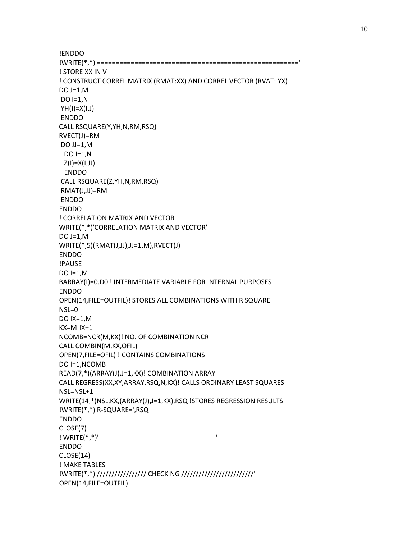!ENDDO !WRITE(\*,\*)'======================================================' ! STORE XX IN V ! CONSTRUCT CORREL MATRIX (RMAT:XX) AND CORREL VECTOR (RVAT: YX) DO J=1,M  $DO I=1,N$  $YH(I)=X(I,J)$  ENDDO CALL RSQUARE(Y,YH,N,RM,RSQ) RVECT(J)=RM DO JJ=1,M DO I=1,N  $Z(I)=X(I,JJ)$  ENDDO CALL RSQUARE(Z,YH,N,RM,RSQ) RMAT(J,JJ)=RM ENDDO ENDDO ! CORRELATION MATRIX AND VECTOR WRITE(\*,\*)'CORRELATION MATRIX AND VECTOR' DO  $J=1,M$  WRITE(\*,5)(RMAT(J,JJ),JJ=1,M),RVECT(J) ENDDO !PAUSE  $DO I=1,M$  BARRAY(I)=0.D0 ! INTERMEDIATE VARIABLE FOR INTERNAL PURPOSES ENDDO OPEN(14,FILE=OUTFIL)! STORES ALL COMBINATIONS WITH R SQUARE NSL=0 DO IX=1,M KX=M-IX+1 NCOMB=NCR(M,KX)! NO. OF COMBINATION NCR CALL COMBIN(M,KX,OFIL) OPEN(7,FILE=OFIL) ! CONTAINS COMBINATIONS DO I=1,NCOMB READ(7,\*)(ARRAY(J),J=1,KX)! COMBINATION ARRAY CALL REGRESS(XX,XY,ARRAY,RSQ,N,KX)! CALLS ORDINARY LEAST SQUARES NSL=NSL+1 WRITE(14,\*)NSL,KX,(ARRAY(J),J=1,KX),RSQ !STORES REGRESSION RESULTS !WRITE(\*,\*)'R-SQUARE=',RSQ ENDDO CLOSE(7) ! WRITE(\*,\*)'---------------------------------------------------' ENDDO CLOSE(14) ! MAKE TABLES !WRITE(\*,\*)'///////////////// CHECKING /////////////////////////' OPEN(14,FILE=OUTFIL)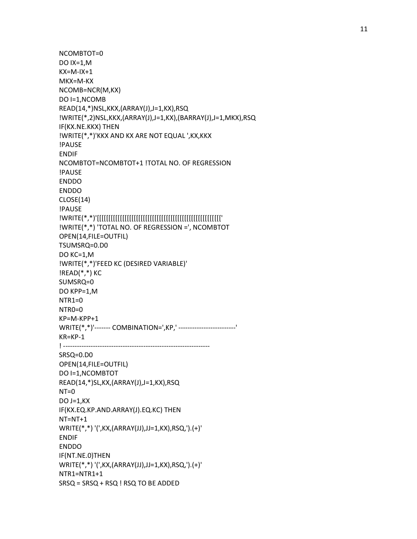NCOMBTOT=0 DO IX=1,M KX=M-IX+1 MKX=M-KX NCOMB=NCR(M,KX) DO I=1,NCOMB READ(14,\*)NSL,KKX,(ARRAY(J),J=1,KX),RSQ !WRITE(\*,2)NSL,KKX,(ARRAY(J),J=1,KX),(BARRAY(J),J=1,MKX),RSQ IF(KX.NE.KKX) THEN !WRITE(\*,\*)'KKX AND KX ARE NOT EQUAL ',KX,KKX !PAUSE ENDIF NCOMBTOT=NCOMBTOT+1 !TOTAL NO. OF REGRESSION !PAUSE ENDDO ENDDO CLOSE(14) !PAUSE !WRITE(\*,\*)'[[[[[[[[[[[[[[[[[[[[[[[[[[[[[[[[[[[[[[[[[[[[[[[[[[[[[[' !WRITE(\*,\*) 'TOTAL NO. OF REGRESSION =', NCOMBTOT OPEN(14,FILE=OUTFIL) TSUMSRQ=0.D0 DO KC=1,M !WRITE(\*,\*)'FEED KC (DESIRED VARIABLE)' !READ(\*,\*) KC SUMSRQ=0 DO KPP=1,M NTR1=0 NTR0=0 KP=M-KPP+1 WRITE(\*,\*)'------- COMBINATION=',KP,' -------------------------' KR=KP-1 ! ---------------------------------------------------------------- SRSQ=0.D0 OPEN(14,FILE=OUTFIL) DO I=1,NCOMBTOT READ(14,\*)SL,KX,(ARRAY(J),J=1,KX),RSQ  $NT=0$ DO  $J=1,KX$  IF(KX.EQ.KP.AND.ARRAY(J).EQ.KC) THEN NT=NT+1 WRITE(\*,\*) '(',KX,(ARRAY(JJ),JJ=1,KX),RSQ,').(+)' ENDIF ENDDO IF(NT.NE.0)THEN WRITE(\*,\*) '(',KX,(ARRAY(JJ),JJ=1,KX),RSQ,').(+)' NTR1=NTR1+1 SRSQ = SRSQ + RSQ ! RSQ TO BE ADDED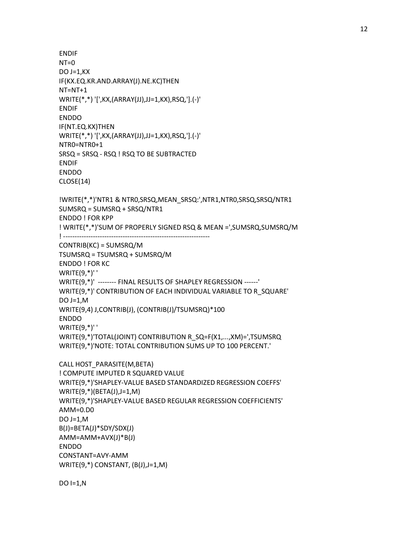```
 ENDIF 
NT=0DO J=1,KX IF(KX.EQ.KR.AND.ARRAY(J).NE.KC)THEN 
 NT=NT+1 
 WRITE(*,*) '[',KX,(ARRAY(JJ),JJ=1,KX),RSQ,'].(-)' 
 ENDIF 
 ENDDO 
 IF(NT.EQ.KX)THEN 
 WRITE(*,*) '[',KX,(ARRAY(JJ),JJ=1,KX),RSQ,'].(-)' 
 NTR0=NTR0+1 
 SRSQ = SRSQ - RSQ ! RSQ TO BE SUBTRACTED 
 ENDIF 
 ENDDO 
 CLOSE(14) 
 !WRITE(*,*)'NTR1 & NTR0,SRSQ,MEAN_SRSQ:',NTR1,NTR0,SRSQ,SRSQ/NTR1 
 SUMSRQ = SUMSRQ + SRSQ/NTR1 
 ENDDO ! FOR KPP 
 ! WRITE(*,*)'SUM OF PROPERLY SIGNED RSQ & MEAN =',SUMSRQ,SUMSRQ/M 
 ! ---------------------------------------------------------------- 
 CONTRIB(KC) = SUMSRQ/M 
 TSUMSRQ = TSUMSRQ + SUMSRQ/M 
 ENDDO ! FOR KC 
 WRITE(9,*)' ' 
 WRITE(9,*)' -------- FINAL RESULTS OF SHAPLEY REGRESSION ------' 
 WRITE(9,*)' CONTRIBUTION OF EACH INDIVIDUAL VARIABLE TO R_SQUARE' 
DO J=1,M WRITE(9,4) J,CONTRIB(J), (CONTRIB(J)/TSUMSRQ)*100 
 ENDDO 
WRITE(9,^*)' '
 WRITE(9,*)'TOTAL(JOINT) CONTRIBUTION R_SQ=F(X1,...,XM)=',TSUMSRQ 
 WRITE(9,*)'NOTE: TOTAL CONTRIBUTION SUMS UP TO 100 PERCENT.' 
 CALL HOST_PARASITE(M,BETA) 
 ! COMPUTE IMPUTED R SQUARED VALUE 
 WRITE(9,*)'SHAPLEY-VALUE BASED STANDARDIZED REGRESSION COEFFS' 
 WRITE(9,*)(BETA(J),J=1,M) 
 WRITE(9,*)'SHAPLEY-VALUE BASED REGULAR REGRESSION COEFFICIENTS' 
 AMM=0.D0 
 DO J=1,M 
 B(J)=BETA(J)*SDY/SDX(J) 
 AMM=AMM+AVX(J)*B(J) 
 ENDDO 
 CONSTANT=AVY-AMM 
 WRITE(9,*) CONSTANT, (B(J),J=1,M)
```
 $DO I=1,N$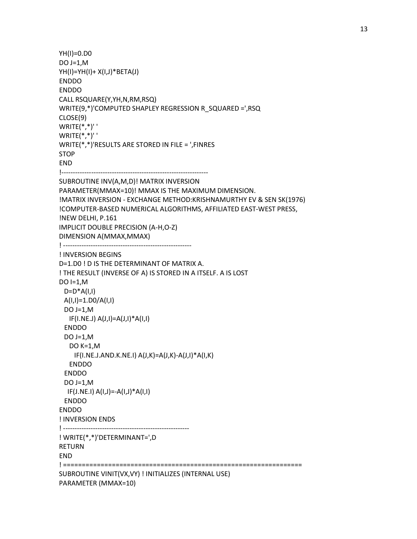```
 YH(I)=0.D0 
DO J=1,M YH(I)=YH(I)+ X(I,J)*BETA(J) 
 ENDDO 
 ENDDO 
 CALL RSQUARE(Y,YH,N,RM,RSQ) 
 WRITE(9,*)'COMPUTED SHAPLEY REGRESSION R_SQUARED =',RSQ 
 CLOSE(9) 
WRITE(*, *)' WRITE(*,*)' ' 
 WRITE(*,*)'RESULTS ARE STORED IN FILE = ',FINRES 
 STOP 
 END 
 !---------------------------------------------------------------- 
 SUBROUTINE INV(A,M,D)! MATRIX INVERSION 
 PARAMETER(MMAX=10)! MMAX IS THE MAXIMUM DIMENSION. 
 !MATRIX INVERSION - EXCHANGE METHOD:KRISHNAMURTHY EV & SEN SK(1976) 
 !COMPUTER-BASED NUMERICAL ALGORITHMS, AFFILIATED EAST-WEST PRESS, 
 !NEW DELHI, P.161 
 IMPLICIT DOUBLE PRECISION (A-H,O-Z) 
 DIMENSION A(MMAX,MMAX) 
 ! -------------------------------------------------------- 
 ! INVERSION BEGINS 
 D=1.D0 ! D IS THE DETERMINANT OF MATRIX A. 
 ! THE RESULT (INVERSE OF A) IS STORED IN A ITSELF. A IS LOST 
DO I=1,MD=D^*A(I,I)A(I,I)=1.DD/A(I,I)DO J=1,M IF(I.NE.J) A(J,I)=A(J,I)*A(I,I) 
  ENDDO 
  DO J=1,M 
    DO K=1,M 
     IF(I.NE.J.AND.K.NE.I) A(J,K)=A(J,K)-A(J,I)*A(I,K) 
    ENDDO 
  ENDDO 
 DO J=1,M IF(J.NE.I) A(I,J)=-A(I,J)*A(I,I) 
  ENDDO 
 ENDDO 
 ! INVERSION ENDS 
 ! ------------------------------------------------------- 
 ! WRITE(*,*)'DETERMINANT=',D 
 RETURN 
 END 
 ! ================================================================ 
 SUBROUTINE VINIT(VX,VY) ! INITIALIZES (INTERNAL USE) 
 PARAMETER (MMAX=10)
```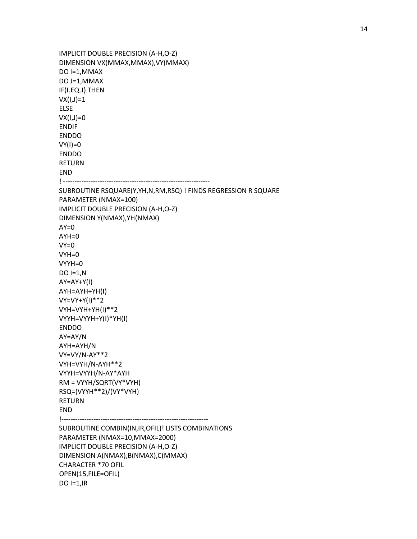```
 IMPLICIT DOUBLE PRECISION (A-H,O-Z) 
 DIMENSION VX(MMAX,MMAX),VY(MMAX) 
 DO I=1,MMAX 
 DO J=1,MMAX 
 IF(I.EQ.J) THEN 
VX(I,J)=1 ELSE 
VX(I,J)=0 ENDIF 
 ENDDO 
VY(1)=0 ENDDO 
 RETURN 
 END 
 ! ---------------------------------------------------------------- 
 SUBROUTINE RSQUARE(Y,YH,N,RM,RSQ) ! FINDS REGRESSION R SQUARE 
 PARAMETER (NMAX=100) 
 IMPLICIT DOUBLE PRECISION (A-H,O-Z) 
 DIMENSION Y(NMAX),YH(NMAX) 
AY=0 AYH=0 
VY=0 VYH=0 
 VYYH=0 
 DO I=1,N 
AY=AY+Y(1) AYH=AYH+YH(I) 
 VY=VY+Y(I)**2 
 VYH=VYH+YH(I)**2 
 VYYH=VYYH+Y(I)*YH(I) 
 ENDDO 
 AY=AY/N 
 AYH=AYH/N 
 VY=VY/N-AY**2 
 VYH=VYH/N-AYH**2 
 VYYH=VYYH/N-AY*AYH 
 RM = VYYH/SQRT(VY*VYH) 
 RSQ=(VYYH**2)/(VY*VYH) 
 RETURN 
 END 
 !---------------------------------------------------------------- 
 SUBROUTINE COMBIN(IN,IR,OFIL)! LISTS COMBINATIONS 
 PARAMETER (NMAX=10,MMAX=2000) 
 IMPLICIT DOUBLE PRECISION (A-H,O-Z) 
 DIMENSION A(NMAX),B(NMAX),C(MMAX) 
 CHARACTER *70 OFIL 
 OPEN(15,FILE=OFIL) 
DO I=1, IR
```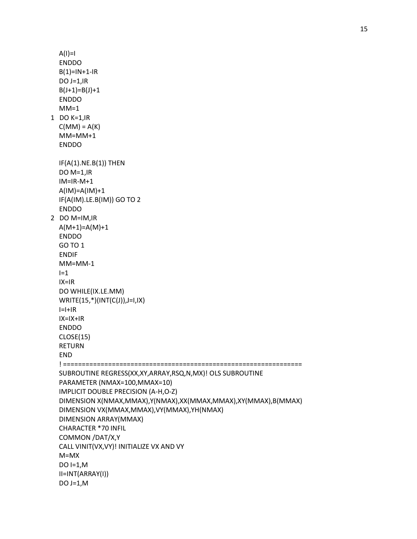```
 ENDDO 
  B(1)=IN+1-IR DO J=1,IR 
  B(J+1)=B(J)+1 ENDDO 
  MM=1 1 DO K=1,IR 
  C(MM) = A(K) MM=MM+1 
   ENDDO 
  IF(A(1).NE.B(1)) THEN
   DO M=1,IR 
   IM=IR-M+1 
   A(IM)=A(IM)+1 
   IF(A(IM).LE.B(IM)) GO TO 2 
   ENDDO 
 2 DO M=IM,IR 
  A(M+1)=A(M)+1 ENDDO 
   GO TO 1 
   ENDIF 
   MM=MM-1 
  I=1 IX=IR 
   DO WHILE(IX.LE.MM) 
   WRITE(15,*)(INT(C(J)),J=I,IX) 
  I=I+IR IX=IX+IR 
   ENDDO 
   CLOSE(15) 
   RETURN 
   END 
   ! ================================================================ 
   SUBROUTINE REGRESS(XX,XY,ARRAY,RSQ,N,MX)! OLS SUBROUTINE 
   PARAMETER (NMAX=100,MMAX=10) 
   IMPLICIT DOUBLE PRECISION (A-H,O-Z) 
   DIMENSION X(NMAX,MMAX),Y(NMAX),XX(MMAX,MMAX),XY(MMAX),B(MMAX) 
   DIMENSION VX(MMAX,MMAX),VY(MMAX),YH(NMAX) 
   DIMENSION ARRAY(MMAX) 
   CHARACTER *70 INFIL 
   COMMON /DAT/X,Y 
   CALL VINIT(VX,VY)! INITIALIZE VX AND VY 
   M=MX 
  DO I=1,M II=INT(ARRAY(I)) 
   DO J=1,M
```
 $A(I)=I$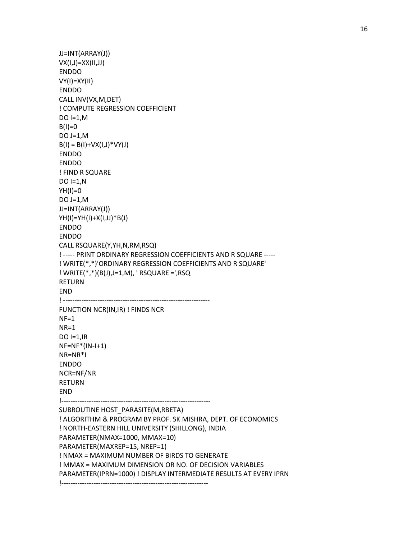```
 JJ=INT(ARRAY(J)) 
 VX(I,J)=XX(II,JJ) 
 ENDDO 
 VY(I)=XY(II) 
 ENDDO 
 CALL INV(VX,M,DET) 
 ! COMPUTE REGRESSION COEFFICIENT 
 DO I=1,M 
B(I)=0DO J=1,MB(I) = B(I) + VX(I,J) * VY(J) ENDDO 
 ENDDO 
 ! FIND R SQUARE 
DO I=1,NYH(I)=0DO J=1,M JJ=INT(ARRAY(J)) 
 YH(I)=YH(I)+X(I,JJ)*B(J) 
 ENDDO 
 ENDDO 
 CALL RSQUARE(Y,YH,N,RM,RSQ) 
 ! ----- PRINT ORDINARY REGRESSION COEFFICIENTS AND R SQUARE ----- 
 ! WRITE(*,*)'ORDINARY REGRESSION COEFFICIENTS AND R SQUARE' 
 ! WRITE(*,*)(B(J),J=1,M), ' RSQUARE =',RSQ 
 RETURN 
 END 
 ! ---------------------------------------------------------------- 
 FUNCTION NCR(IN,IR) ! FINDS NCR 
NF=1NR=1DO I=1, IR NF=NF*(IN-I+1) 
 NR=NR*I 
 ENDDO 
 NCR=NF/NR 
 RETURN 
 END 
 !----------------------------------------------------------------- 
 SUBROUTINE HOST_PARASITE(M,RBETA) 
 ! ALGORITHM & PROGRAM BY PROF. SK MISHRA, DEPT. OF ECONOMICS 
 ! NORTH-EASTERN HILL UNIVERSITY (SHILLONG), INDIA 
 PARAMETER(NMAX=1000, MMAX=10) 
 PARAMETER(MAXREP=15, NREP=1) 
 ! NMAX = MAXIMUM NUMBER OF BIRDS TO GENERATE 
 ! MMAX = MAXIMUM DIMENSION OR NO. OF DECISION VARIABLES 
 PARAMETER(IPRN=1000) ! DISPLAY INTERMEDIATE RESULTS AT EVERY IPRN 
 !----------------------------------------------------------------
```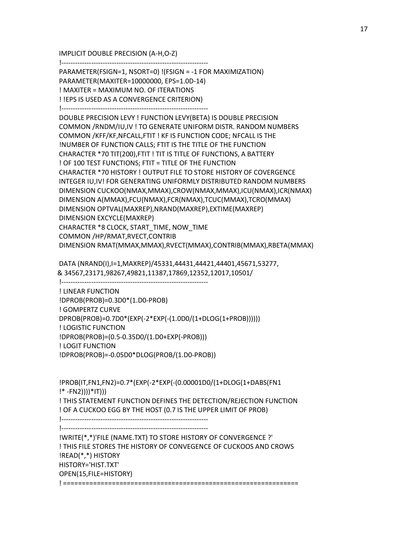IMPLICIT DOUBLE PRECISION (A-H,O-Z)

!----------------------------------------------------------------

 PARAMETER(FSIGN=1, NSORT=0) !(FSIGN = -1 FOR MAXIMIZATION) PARAMETER(MAXITER=10000000, EPS=1.0D-14) ! MAXITER = MAXIMUM NO. OF ITERATIONS ! !EPS IS USED AS A CONVERGENCE CRITERION) !----------------------------------------------------------------

 DOUBLE PRECISION LEVY ! FUNCTION LEVY(BETA) IS DOUBLE PRECISION COMMON /RNDM/IU,IV ! TO GENERATE UNIFORM DISTR. RANDOM NUMBERS COMMON /KFF/KF,NFCALL,FTIT ! KF IS FUNCTION CODE; NFCALL IS THE !NUMBER OF FUNCTION CALLS; FTIT IS THE TITLE OF THE FUNCTION CHARACTER \*70 TIT(200),FTIT ! TIT IS TITLE OF FUNCTIONS, A BATTERY ! OF 100 TEST FUNCTIONS; FTIT = TITLE OF THE FUNCTION CHARACTER \*70 HISTORY ! OUTPUT FILE TO STORE HISTORY OF COVERGENCE INTEGER IU,IV! FOR GENERATING UNIFORMLY DISTRIBUTED RANDOM NUMBERS DIMENSION CUCKOO(NMAX,MMAX),CROW(NMAX,MMAX),ICU(NMAX),ICR(NMAX) DIMENSION A(MMAX),FCU(NMAX),FCR(NMAX),TCUC(MMAX),TCRO(MMAX) DIMENSION OPTVAL(MAXREP),NRAND(MAXREP),EXTIME(MAXREP) DIMENSION EXCYCLE(MAXREP) CHARACTER \*8 CLOCK, START\_TIME, NOW\_TIME COMMON /HP/RMAT,RVECT,CONTRIB DIMENSION RMAT(MMAX,MMAX),RVECT(MMAX),CONTRIB(MMAX),RBETA(MMAX)

 DATA (NRAND(I),I=1,MAXREP)/45331,44431,44421,44401,45671,53277, & 34567,23171,98267,49821,11387,17869,12352,12017,10501/

!----------------------------------------------------------------

 ! LINEAR FUNCTION !DPROB(PROB)=0.3D0\*(1.D0-PROB) ! GOMPERTZ CURVE DPROB(PROB)=0.7D0\*(EXP(-2\*EXP(-(1.0D0/(1+DLOG(1+PROB)))))) ! LOGISTIC FUNCTION !DPROB(PROB)=(0.5-0.35D0/(1.D0+EXP(-PROB))) ! LOGIT FUNCTION !DPROB(PROB)=-0.05D0\*DLOG(PROB/(1.D0-PROB))

 !PROB(IT,FN1,FN2)=0.7\*(EXP(-2\*EXP(-(0.00001D0/(1+DLOG(1+DABS(FN1 !\* -FN2))))\*IT))) ! THIS STATEMENT FUNCTION DEFINES THE DETECTION/REJECTION FUNCTION ! OF A CUCKOO EGG BY THE HOST (0.7 IS THE UPPER LIMIT OF PROB) !---------------------------------------------------------------- !---------------------------------------------------------------- !WRITE(\*,\*)'FILE (NAME.TXT) TO STORE HISTORY OF CONVERGENCE ?'

 ! THIS FILE STORES THE HISTORY OF CONVEGENCE OF CUCKOOS AND CROWS !READ(\*,\*) HISTORY HISTORY='HIST.TXT' OPEN(15,FILE=HISTORY) ! ===============================================================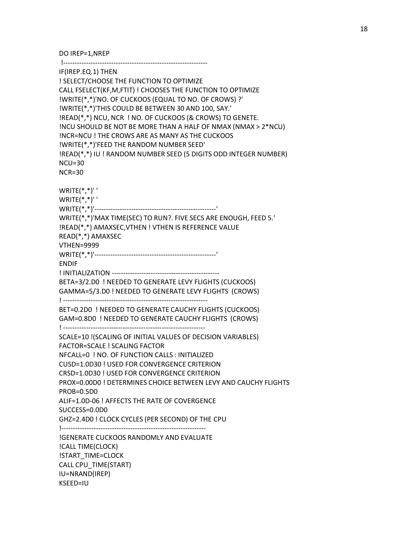DO IREP=1,NREP

 !--------------------------------------------------------------- IF(IREP.EQ.1) THEN ! SELECT/CHOOSE THE FUNCTION TO OPTIMIZE CALL FSELECT(KF,M,FTIT) ! CHOOSES THE FUNCTION TO OPTIMIZE !WRITE(\*,\*)'NO. OF CUCKOOS (EQUAL TO NO. OF CROWS) ?' !WRITE(\*,\*)'THIS COULD BE BETWEEN 30 AND 100, SAY.' !READ(\*,\*) NCU, NCR ! NO. OF CUCKOOS (& CROWS) TO GENETE. !NCU SHOULD BE NOT BE MORE THAN A HALF OF NMAX (NMAX > 2\*NCU) !NCR=NCU ! THE CROWS ARE AS MANY AS THE CUCKOOS !WRITE(\*,\*)'FEED THE RANDOM NUMBER SEED' !READ(\*,\*) IU ! RANDOM NUMBER SEED (5 DIGITS ODD INTEGER NUMBER) NCU=30 NCR=30  $WRITE(*, *)'$  WRITE(\*,\*)' ' WRITE(\*,\*)'-----------------------------------------------------' WRITE(\*,\*)'MAX TIME(SEC) TO RUN?. FIVE SECS ARE ENOUGH, FEED 5.' !READ(\*,\*) AMAXSEC,VTHEN ! VTHEN IS REFERENCE VALUE READ(\*,\*) AMAXSEC VTHEN=9999 WRITE(\*,\*)'-----------------------------------------------------' ENDIF ! INITIALIZATION ----------------------------------------------- BETA=3/2.D0 ! NEEDED TO GENERATE LEVY FLIGHTS (CUCKOOS) GAMMA=5/3.D0 ! NEEDED TO GENERATE LEVY FLIGHTS (CROWS) ! --------------------------------------------------------------- BET=0.2D0 ! NEEDED TO GENERATE CAUCHY FLIGHTS (CUCKOOS) GAM=0.8D0 ! NEEDED TO GENERATE CAUCHY FLIGHTS (CROWS) ! -------------------------------------------------------------- SCALE=10 !(SCALING OF INITIAL VALUES OF DECISION VARIABLES) FACTOR=SCALE ! SCALING FACTOR NFCALL=0 ! NO. OF FUNCTION CALLS : INITIALIZED CUSD=1.0D30 ! USED FOR CONVERGENCE CRITERION CRSD=1.0D30 ! USED FOR CONVERGENCE CRITERION PROX=0.00D0 ! DETERMINES CHOICE BETWEEN LEVY AND CAUCHY FLIGHTS PROB=0.5D0 ALIF=1.0D-06 ! AFFECTS THE RATE OF COVERGENCE SUCCESS=0.0D0 GHZ=2.4D0 ! CLOCK CYCLES (PER SECOND) OF THE CPU !--------------------------------------------------------------- !GENERATE CUCKOOS RANDOMLY AND EVALUATE !CALL TIME(CLOCK) !START\_TIME=CLOCK CALL CPU\_TIME(START) IU=NRAND(IREP) KSEED=IU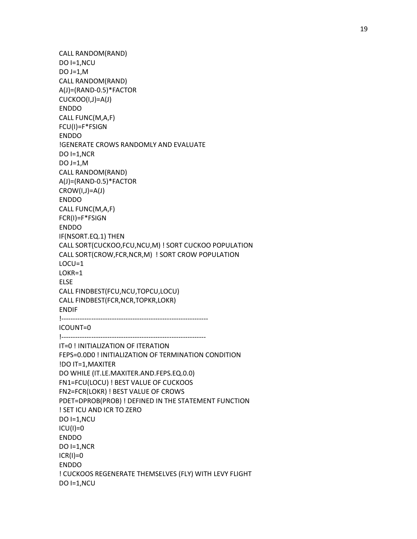CALL RANDOM(RAND) DO I=1,NCU DO J=1,M CALL RANDOM(RAND) A(J)=(RAND-0.5)\*FACTOR CUCKOO(I,J)=A(J) ENDDO CALL FUNC(M,A,F) FCU(I)=F\*FSIGN ENDDO !GENERATE CROWS RANDOMLY AND EVALUATE DO  $I=1, NCR$  $DO J=1,M$  CALL RANDOM(RAND) A(J)=(RAND-0.5)\*FACTOR CROW(I,J)=A(J) ENDDO CALL FUNC(M,A,F) FCR(I)=F\*FSIGN ENDDO IF(NSORT.EQ.1) THEN CALL SORT(CUCKOO,FCU,NCU,M) ! SORT CUCKOO POPULATION CALL SORT(CROW,FCR,NCR,M) ! SORT CROW POPULATION LOCU=1 LOKR=1 ELSE CALL FINDBEST(FCU,NCU,TOPCU,LOCU) CALL FINDBEST(FCR,NCR,TOPKR,LOKR) ENDIF !---------------------------------------------------------------- ICOUNT=0 !--------------------------------------------------------------- IT=0 ! INITIALIZATION OF ITERATION FEPS=0.0D0 ! INITIALIZATION OF TERMINATION CONDITION !DO IT=1,MAXITER DO WHILE (IT.LE.MAXITER.AND.FEPS.EQ.0.0) FN1=FCU(LOCU) ! BEST VALUE OF CUCKOOS FN2=FCR(LOKR) ! BEST VALUE OF CROWS PDET=DPROB(PROB) ! DEFINED IN THE STATEMENT FUNCTION ! SET ICU AND ICR TO ZERO DO I=1,NCU  $ICU(I)=0$  ENDDO DO I=1,NCR  $ICR(I)=0$  ENDDO ! CUCKOOS REGENERATE THEMSELVES (FLY) WITH LEVY FLIGHT DO I=1,NCU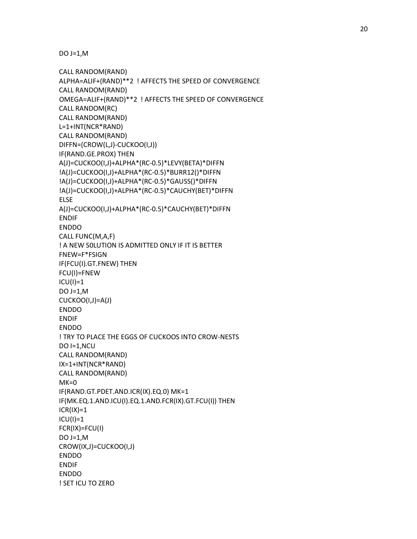```
 CALL RANDOM(RAND) 
 ALPHA=ALIF+(RAND)**2 ! AFFECTS THE SPEED OF CONVERGENCE 
 CALL RANDOM(RAND) 
 OMEGA=ALIF+(RAND)**2 ! AFFECTS THE SPEED OF CONVERGENCE 
 CALL RANDOM(RC) 
 CALL RANDOM(RAND) 
 L=1+INT(NCR*RAND) 
 CALL RANDOM(RAND) 
 DIFFN=(CROW(L,J)-CUCKOO(I,J)) 
 IF(RAND.GE.PROX) THEN 
 A(J)=CUCKOO(I,J)+ALPHA*(RC-0.5)*LEVY(BETA)*DIFFN 
 !A(J)=CUCKOO(I,J)+ALPHA*(RC-0.5)*BURR12()*DIFFN 
 !A(J)=CUCKOO(I,J)+ALPHA*(RC-0.5)*GAUSS()*DIFFN 
 !A(J)=CUCKOO(I,J)+ALPHA*(RC-0.5)*CAUCHY(BET)*DIFFN 
 ELSE 
 A(J)=CUCKOO(I,J)+ALPHA*(RC-0.5)*CAUCHY(BET)*DIFFN 
 ENDIF 
 ENDDO 
 CALL FUNC(M,A,F) 
! A NEW SOLUTION IS ADMITTED ONLY IF IT IS BETTER
 FNEW=F*FSIGN 
 IF(FCU(I).GT.FNEW) THEN 
 FCU(I)=FNEW 
ICU(I)=1 DO J=1,M 
 CUCKOO(I,J)=A(J) 
 ENDDO 
 ENDIF 
 ENDDO 
 ! TRY TO PLACE THE EGGS OF CUCKOOS INTO CROW-NESTS 
 DO I=1,NCU 
 CALL RANDOM(RAND) 
 IX=1+INT(NCR*RAND) 
 CALL RANDOM(RAND) 
MK=0 IF(RAND.GT.PDET.AND.ICR(IX).EQ.0) MK=1 
 IF(MK.EQ.1.AND.ICU(I).EQ.1.AND.FCR(IX).GT.FCU(I)) THEN 
ICR(IX)=1ICU(I)=1 FCR(IX)=FCU(I) 
DO J=1,M CROW(IX,J)=CUCKOO(I,J) 
 ENDDO 
 ENDIF 
 ENDDO 
 ! SET ICU TO ZERO
```
DO  $J=1,M$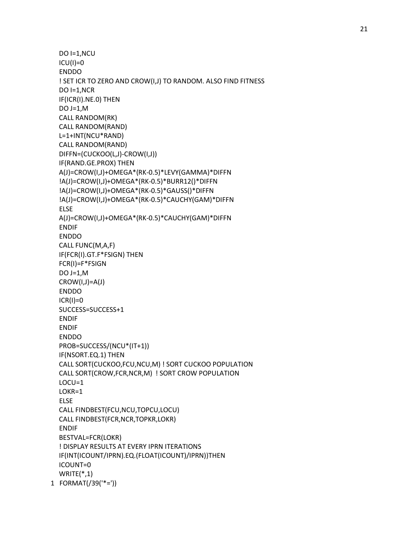```
 DO I=1,NCU 
  ICU(I)=0 ENDDO 
   ! SET ICR TO ZERO AND CROW(I,J) TO RANDOM. ALSO FIND FITNESS 
  DO I=1,NCR
   IF(ICR(I).NE.0) THEN 
   DO J=1,M 
   CALL RANDOM(RK) 
   CALL RANDOM(RAND) 
   L=1+INT(NCU*RAND) 
   CALL RANDOM(RAND) 
   DIFFN=(CUCKOO(L,J)-CROW(I,J)) 
   IF(RAND.GE.PROX) THEN 
   A(J)=CROW(I,J)+OMEGA*(RK-0.5)*LEVY(GAMMA)*DIFFN 
   !A(J)=CROW(I,J)+OMEGA*(RK-0.5)*BURR12()*DIFFN
   !A(J)=CROW(I,J)+OMEGA*(RK-0.5)*GAUSS()*DIFFN 
   !A(J)=CROW(I,J)+OMEGA*(RK-0.5)*CAUCHY(GAM)*DIFFN 
   ELSE 
   A(J)=CROW(I,J)+OMEGA*(RK-0.5)*CAUCHY(GAM)*DIFFN 
   ENDIF 
   ENDDO 
   CALL FUNC(M,A,F) 
   IF(FCR(I).GT.F*FSIGN) THEN 
   FCR(I)=F*FSIGN 
   DO J=1,M 
  CROW(I,J)=A(J) ENDDO 
  ICR(I)=0 SUCCESS=SUCCESS+1 
   ENDIF 
   ENDIF 
   ENDDO 
   PROB=SUCCESS/(NCU*(IT+1)) 
   IF(NSORT.EQ.1) THEN 
   CALL SORT(CUCKOO,FCU,NCU,M) ! SORT CUCKOO POPULATION 
   CALL SORT(CROW,FCR,NCR,M) ! SORT CROW POPULATION 
   LOCU=1 
   LOKR=1 
   ELSE 
   CALL FINDBEST(FCU,NCU,TOPCU,LOCU) 
   CALL FINDBEST(FCR,NCR,TOPKR,LOKR) 
   ENDIF 
   BESTVAL=FCR(LOKR) 
   ! DISPLAY RESULTS AT EVERY IPRN ITERATIONS 
   IF(INT(ICOUNT/IPRN).EQ.(FLOAT(ICOUNT)/IPRN))THEN 
   ICOUNT=0 
  WRITE(*,1) 1 FORMAT(/39('*='))
```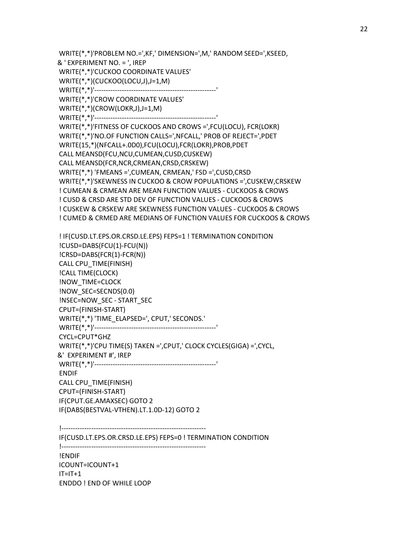IF(CUSD.LT.EPS.OR.CRSD.LE.EPS) FEPS=0 ! TERMINATION CONDITION !--------------------------------------------------------------- !ENDIF ICOUNT=ICOUNT+1  $IT=IT+1$ ENDDO ! END OF WHILE LOOP

!---------------------------------------------------------------

 ! IF(CUSD.LT.EPS.OR.CRSD.LE.EPS) FEPS=1 ! TERMINATION CONDITION !CUSD=DABS(FCU(1)-FCU(N)) !CRSD=DABS(FCR(1)-FCR(N)) CALL CPU\_TIME(FINISH) !CALL TIME(CLOCK) !NOW\_TIME=CLOCK !NOW\_SEC=SECNDS(0.0) !NSEC=NOW\_SEC - START\_SEC CPUT=(FINISH-START) WRITE(\*,\*) 'TIME\_ELAPSED=', CPUT,' SECONDS.' WRITE(\*,\*)'-----------------------------------------------------' CYCL=CPUT\*GHZ WRITE(\*,\*)'CPU TIME(S) TAKEN =',CPUT,' CLOCK CYCLES(GIGA) =',CYCL, &' EXPERIMENT #', IREP WRITE(\*,\*)'-----------------------------------------------------' ENDIF CALL CPU\_TIME(FINISH) CPUT=(FINISH-START) IF(CPUT.GE.AMAXSEC) GOTO 2 IF(DABS(BESTVAL-VTHEN).LT.1.0D-12) GOTO 2

 WRITE(\*,\*)'PROBLEM NO.=',KF,' DIMENSION=',M,' RANDOM SEED=',KSEED, & ' EXPERIMENT NO. = ', IREP WRITE(\*,\*)'CUCKOO COORDINATE VALUES' WRITE(\*,\*)(CUCKOO(LOCU,J),J=1,M) WRITE(\*,\*)'-----------------------------------------------------' WRITE(\*,\*)'CROW COORDINATE VALUES' WRITE(\*,\*)(CROW(LOKR,J),J=1,M) WRITE(\*,\*)'-----------------------------------------------------' WRITE(\*,\*)'FITNESS OF CUCKOOS AND CROWS =',FCU(LOCU), FCR(LOKR) WRITE(\*,\*)'NO.OF FUNCTION CALLS=',NFCALL,' PROB OF REJECT=',PDET WRITE(15,\*)(NFCALL+.0D0),FCU(LOCU),FCR(LOKR),PROB,PDET CALL MEANSD(FCU,NCU,CUMEAN,CUSD,CUSKEW) CALL MEANSD(FCR,NCR,CRMEAN,CRSD,CRSKEW) WRITE(\*,\*) 'FMEANS =',CUMEAN, CRMEAN,' FSD =',CUSD,CRSD WRITE(\*,\*)'SKEWNESS IN CUCKOO & CROW POPULATIONS =',CUSKEW,CRSKEW ! CUMEAN & CRMEAN ARE MEAN FUNCTION VALUES - CUCKOOS & CROWS ! CUSD & CRSD ARE STD DEV OF FUNCTION VALUES - CUCKOOS & CROWS ! CUSKEW & CRSKEW ARE SKEWNESS FUNCTION VALUES - CUCKOOS & CROWS ! CUMED & CRMED ARE MEDIANS OF FUNCTION VALUES FOR CUCKOOS & CROWS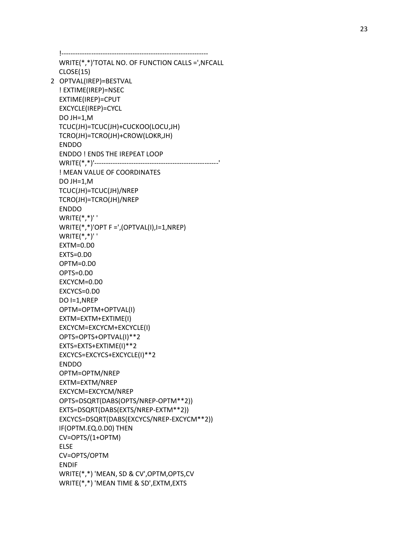!---------------------------------------------------------------- WRITE(\*,\*)'TOTAL NO. OF FUNCTION CALLS =',NFCALL CLOSE(15) 2 OPTVAL(IREP)=BESTVAL ! EXTIME(IREP)=NSEC EXTIME(IREP)=CPUT EXCYCLE(IREP)=CYCL DO JH=1,M TCUC(JH)=TCUC(JH)+CUCKOO(LOCU,JH) TCRO(JH)=TCRO(JH)+CROW(LOKR,JH) ENDDO ENDDO ! ENDS THE IREPEAT LOOP WRITE(\*,\*)'------------------------------------------------------' ! MEAN VALUE OF COORDINATES DO JH=1,M TCUC(JH)=TCUC(JH)/NREP TCRO(JH)=TCRO(JH)/NREP ENDDO  $WRITE(*, *)'$ WRITE $(*,*)'$ OPT F =',(OPTVAL(I),I=1,NREP) WRITE(\*,\*)' ' EXTM=0.D0 EXTS=0.D0 OPTM=0.D0 OPTS=0.D0 EXCYCM=0.D0 EXCYCS=0.D0 DO I=1,NREP OPTM=OPTM+OPTVAL(I) EXTM=EXTM+EXTIME(I) EXCYCM=EXCYCM+EXCYCLE(I) OPTS=OPTS+OPTVAL(I)\*\*2 EXTS=EXTS+EXTIME(I)\*\*2 EXCYCS=EXCYCS+EXCYCLE(I)\*\*2 ENDDO OPTM=OPTM/NREP EXTM=EXTM/NREP EXCYCM=EXCYCM/NREP OPTS=DSQRT(DABS(OPTS/NREP-OPTM\*\*2)) EXTS=DSQRT(DABS(EXTS/NREP-EXTM\*\*2)) EXCYCS=DSQRT(DABS(EXCYCS/NREP-EXCYCM\*\*2)) IF(OPTM.EQ.0.D0) THEN CV=OPTS/(1+OPTM) ELSE CV=OPTS/OPTM ENDIF WRITE(\*,\*) 'MEAN, SD & CV',OPTM,OPTS,CV WRITE(\*,\*) 'MEAN TIME & SD',EXTM,EXTS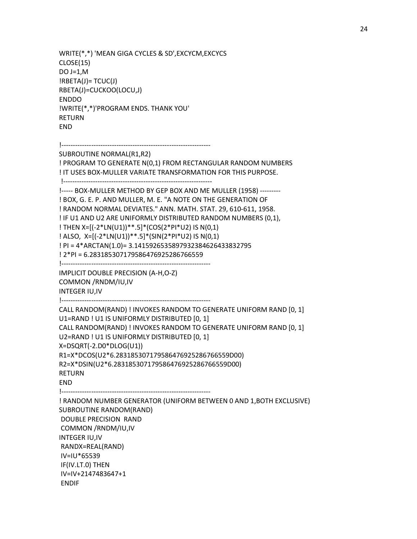```
 WRITE(*,*) 'MEAN GIGA CYCLES & SD',EXCYCM,EXCYCS 
 CLOSE(15) 
DO J=1,M|RBETA(J)=TCUC(J)| RBETA(J)=CUCKOO(LOCU,J) 
 ENDDO 
 !WRITE(*,*)'PROGRAM ENDS. THANK YOU' 
 RETURN 
 END 
 !----------------------------------------------------------------- 
 SUBROUTINE NORMAL(R1,R2) 
 ! PROGRAM TO GENERATE N(0,1) FROM RECTANGULAR RANDOM NUMBERS 
 ! IT USES BOX-MULLER VARIATE TRANSFORMATION FOR THIS PURPOSE. 
 !----------------------------------------------------------------- 
 !----- BOX-MULLER METHOD BY GEP BOX AND ME MULLER (1958) --------- 
 ! BOX, G. E. P. AND MULLER, M. E. "A NOTE ON THE GENERATION OF 
 ! RANDOM NORMAL DEVIATES." ANN. MATH. STAT. 29, 610-611, 1958. 
 ! IF U1 AND U2 ARE UNIFORMLY DISTRIBUTED RANDOM NUMBERS (0,1), 
 ! THEN X=[(-2*LN(U1))**.5]*(COS(2*PI*U2) IS N(0,1) 
 ! ALSO, X=[(-2*LN(U1))**.5]*(SIN(2*PI*U2) IS N(0,1) 
 ! PI = 4*ARCTAN(1.0)= 3.1415926535897932384626433832795 
 ! 2*PI = 6.283185307179586476925286766559 
 !----------------------------------------------------------------- 
 IMPLICIT DOUBLE PRECISION (A-H,O-Z) 
 COMMON /RNDM/IU,IV 
 INTEGER IU,IV 
 !----------------------------------------------------------------- 
 CALL RANDOM(RAND) ! INVOKES RANDOM TO GENERATE UNIFORM RAND [0, 1]
```

```
 U1=RAND ! U1 IS UNIFORMLY DISTRIBUTED [0, 1]
```

```
 CALL RANDOM(RAND) ! INVOKES RANDOM TO GENERATE UNIFORM RAND [0, 1] 
 U2=RAND ! U1 IS UNIFORMLY DISTRIBUTED [0, 1]
```
X=DSQRT(-2.D0\*DLOG(U1))

```
 R1=X*DCOS(U2*6.283185307179586476925286766559D00)
```

```
 R2=X*DSIN(U2*6.283185307179586476925286766559D00)
```
RETURN

END

 !----------------------------------------------------------------- ! RANDOM NUMBER GENERATOR (UNIFORM BETWEEN 0 AND 1,BOTH EXCLUSIVE) SUBROUTINE RANDOM(RAND) DOUBLE PRECISION RAND COMMON /RNDM/IU,IV INTEGER IU,IV RANDX=REAL(RAND) IV=IU\*65539 IF(IV.LT.0) THEN IV=IV+2147483647+1 ENDIF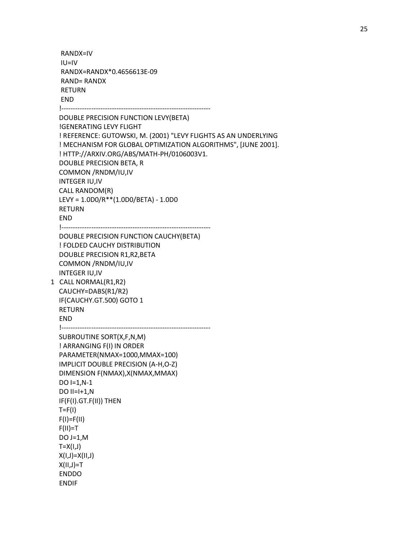RANDX=IV IU=IV RANDX=RANDX\*0.4656613E-09 RAND= RANDX RETURN END !-----------------------------------------------------------------

 DOUBLE PRECISION FUNCTION LEVY(BETA) !GENERATING LEVY FLIGHT ! REFERENCE: GUTOWSKI, M. (2001) "LEVY FLIGHTS AS AN UNDERLYING ! MECHANISM FOR GLOBAL OPTIMIZATION ALGORITHMS", [JUNE 2001]. ! HTTP://ARXIV.ORG/ABS/MATH-PH/0106003V1. DOUBLE PRECISION BETA, R COMMON /RNDM/IU,IV INTEGER IU,IV CALL RANDOM(R) LEVY = 1.0D0/R\*\*(1.0D0/BETA) - 1.0D0 RETURN END

 !----------------------------------------------------------------- DOUBLE PRECISION FUNCTION CAUCHY(BETA) ! FOLDED CAUCHY DISTRIBUTION DOUBLE PRECISION R1,R2,BETA COMMON /RNDM/IU,IV

 INTEGER IU,IV 1 CALL NORMAL(R1,R2) CAUCHY=DABS(R1/R2) IF(CAUCHY.GT.500) GOTO 1 RETURN END

```
 !-----------------------------------------------------------------
```
 SUBROUTINE SORT(X,F,N,M) ! ARRANGING F(I) IN ORDER PARAMETER(NMAX=1000,MMAX=100) IMPLICIT DOUBLE PRECISION (A-H,O-Z) DIMENSION F(NMAX),X(NMAX,MMAX)  $DO I=1,N-1$ DO  $II=I+1,N$  IF(F(I).GT.F(II)) THEN  $T = F(1)$  $F(I)=F(II)$  $F(II)=T$  DO J=1,M  $T=X(I,J)$  X(I,J)=X(II,J)  $X(II,J)=T$  ENDDO ENDIF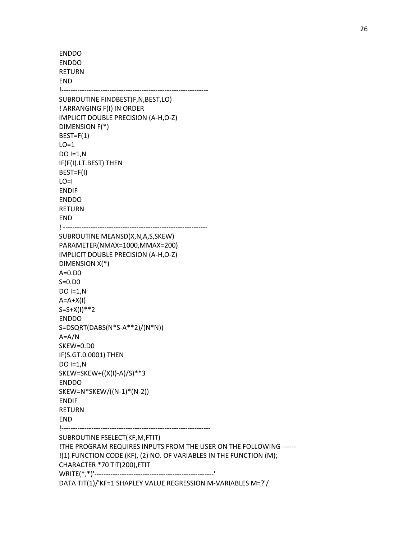ENDDO ENDDO RETURN END !---------------------------------------------------------------- SUBROUTINE FINDBEST(F,N,BEST,LO) ! ARRANGING F(I) IN ORDER IMPLICIT DOUBLE PRECISION (A-H,O-Z) DIMENSION F(\*)  $BEST=F(1)$  $LO=1$  DO I=1,N IF(F(I).LT.BEST) THEN BEST=F(I)  $LO=I$  ENDIF ENDDO RETURN END ! --------------------------------------------------------------- SUBROUTINE MEANSD(X,N,A,S,SKEW) PARAMETER(NMAX=1000,MMAX=200) IMPLICIT DOUBLE PRECISION (A-H,O-Z) DIMENSION X(\*) A=0.D0 S=0.D0 DO I=1,N  $A=A+X(I)$  $S = S + X(1) * * 2$  ENDDO S=DSQRT(DABS(N\*S-A\*\*2)/(N\*N)) A=A/N SKEW=0.D0 IF(S.GT.0.0001) THEN  $DO I=1,N$  SKEW=SKEW+((X(I)-A)/S)\*\*3 ENDDO SKEW=N\*SKEW/((N-1)\*(N-2)) ENDIF RETURN END !----------------------------------------------------------------- SUBROUTINE FSELECT(KF,M,FTIT) !THE PROGRAM REQUIRES INPUTS FROM THE USER ON THE FOLLOWING ------ !(1) FUNCTION CODE (KF), (2) NO. OF VARIABLES IN THE FUNCTION (M); CHARACTER \*70 TIT(200),FTIT WRITE(\*,\*)'----------------------------------------------------' DATA TIT(1)/'KF=1 SHAPLEY VALUE REGRESSION M-VARIABLES M=?'/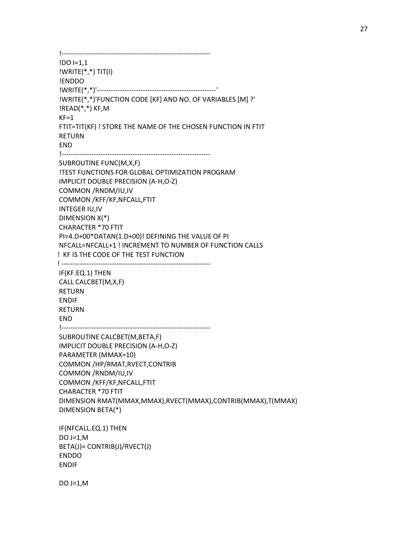!----------------------------------------------------------------- !DO I=1,1 !WRITE(\*,\*) TIT(I) !ENDDO !WRITE(\*,\*)'----------------------------------------------------' !WRITE(\*,\*)'FUNCTION CODE [KF] AND NO. OF VARIABLES [M] ?' !READ(\*,\*) KF,M  $KF=1$  FTIT=TIT(KF) ! STORE THE NAME OF THE CHOSEN FUNCTION IN FTIT RETURN END !----------------------------------------------------------------- SUBROUTINE FUNC(M,X,F) !TEST FUNCTIONS FOR GLOBAL OPTIMIZATION PROGRAM IMPLICIT DOUBLE PRECISION (A-H,O-Z) COMMON /RNDM/IU,IV COMMON /KFF/KF,NFCALL,FTIT INTEGER IU,IV DIMENSION X(\*) CHARACTER \*70 FTIT PI=4.D+00\*DATAN(1.D+00)! DEFINING THE VALUE OF PI NFCALL=NFCALL+1 ! INCREMENT TO NUMBER OF FUNCTION CALLS ! KF IS THE CODE OF THE TEST FUNCTION ! ----------------------------------------------------------------- IF(KF.EQ.1) THEN CALL CALCBET(M,X,F) RETURN ENDIF RETURN END !----------------------------------------------------------------- SUBROUTINE CALCBET(M,BETA,F) IMPLICIT DOUBLE PRECISION (A-H,O-Z) PARAMETER (MMAX=10) COMMON /HP/RMAT,RVECT,CONTRIB COMMON /RNDM/IU,IV COMMON /KFF/KF,NFCALL,FTIT CHARACTER \*70 FTIT DIMENSION RMAT(MMAX,MMAX),RVECT(MMAX),CONTRIB(MMAX),T(MMAX) DIMENSION BETA(\*) IF(NFCALL.EQ.1) THEN DO  $J=1,M$  BETA(J)= CONTRIB(J)/RVECT(J) ENDDO ENDIF

DO J=1,M